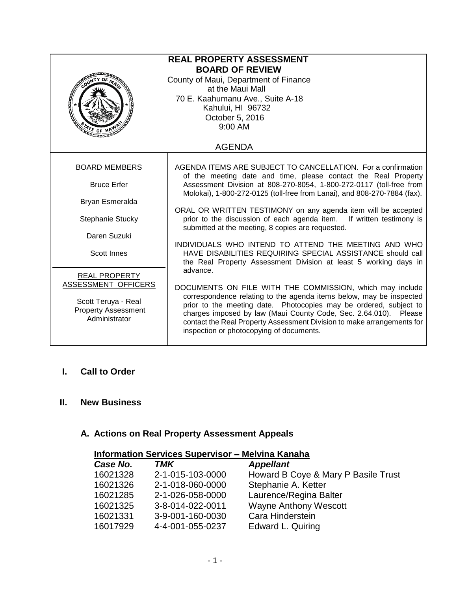| <b>REAL PROPERTY ASSESSMENT</b><br><b>BOARD OF REVIEW</b><br>County of Maui, Department of Finance<br>at the Maui Mall<br>70 E. Kaahumanu Ave., Suite A-18<br>Kahului, HI 96732<br>October 5, 2016<br>9:00 AM<br>ATE OF |                                                                                                                                                                                                                                                                                                                                                                                                            |  |  |  |
|-------------------------------------------------------------------------------------------------------------------------------------------------------------------------------------------------------------------------|------------------------------------------------------------------------------------------------------------------------------------------------------------------------------------------------------------------------------------------------------------------------------------------------------------------------------------------------------------------------------------------------------------|--|--|--|
| <b>AGENDA</b>                                                                                                                                                                                                           |                                                                                                                                                                                                                                                                                                                                                                                                            |  |  |  |
| <b>BOARD MEMBERS</b>                                                                                                                                                                                                    | AGENDA ITEMS ARE SUBJECT TO CANCELLATION. For a confirmation<br>of the meeting date and time, please contact the Real Property                                                                                                                                                                                                                                                                             |  |  |  |
| <b>Bruce Erfer</b><br>Bryan Esmeralda                                                                                                                                                                                   | Assessment Division at 808-270-8054, 1-800-272-0117 (toll-free from<br>Molokai), 1-800-272-0125 (toll-free from Lanai), and 808-270-7884 (fax).                                                                                                                                                                                                                                                            |  |  |  |
| Stephanie Stucky                                                                                                                                                                                                        | ORAL OR WRITTEN TESTIMONY on any agenda item will be accepted<br>prior to the discussion of each agenda item. If written testimony is<br>submitted at the meeting, 8 copies are requested.                                                                                                                                                                                                                 |  |  |  |
| Daren Suzuki                                                                                                                                                                                                            | INDIVIDUALS WHO INTEND TO ATTEND THE MEETING AND WHO                                                                                                                                                                                                                                                                                                                                                       |  |  |  |
| <b>Scott Innes</b>                                                                                                                                                                                                      | HAVE DISABILITIES REQUIRING SPECIAL ASSISTANCE should call<br>the Real Property Assessment Division at least 5 working days in                                                                                                                                                                                                                                                                             |  |  |  |
| <b>REAL PROPERTY</b><br>ASSESSMENT OFFICERS<br>Scott Teruya - Real<br><b>Property Assessment</b><br>Administrator                                                                                                       | advance.<br>DOCUMENTS ON FILE WITH THE COMMISSION, which may include<br>correspondence relating to the agenda items below, may be inspected<br>prior to the meeting date. Photocopies may be ordered, subject to<br>charges imposed by law (Maui County Code, Sec. 2.64.010). Please<br>contact the Real Property Assessment Division to make arrangements for<br>inspection or photocopying of documents. |  |  |  |

### **I. Call to Order**

### **II. New Business**

# **A. Actions on Real Property Assessment Appeals**

| <b>Information Services Supervisor - Melvina Kanaha</b> |                  |                                     |  |  |  |
|---------------------------------------------------------|------------------|-------------------------------------|--|--|--|
| Case No.                                                | TMK              | <b>Appellant</b>                    |  |  |  |
| 16021328                                                | 2-1-015-103-0000 | Howard B Coye & Mary P Basile Trust |  |  |  |
| 16021326                                                | 2-1-018-060-0000 | Stephanie A. Ketter                 |  |  |  |
| 16021285                                                | 2-1-026-058-0000 | Laurence/Regina Balter              |  |  |  |
| 16021325                                                | 3-8-014-022-0011 | <b>Wayne Anthony Wescott</b>        |  |  |  |
| 16021331                                                | 3-9-001-160-0030 | Cara Hinderstein                    |  |  |  |
| 16017929                                                | 4-4-001-055-0237 | Edward L. Quiring                   |  |  |  |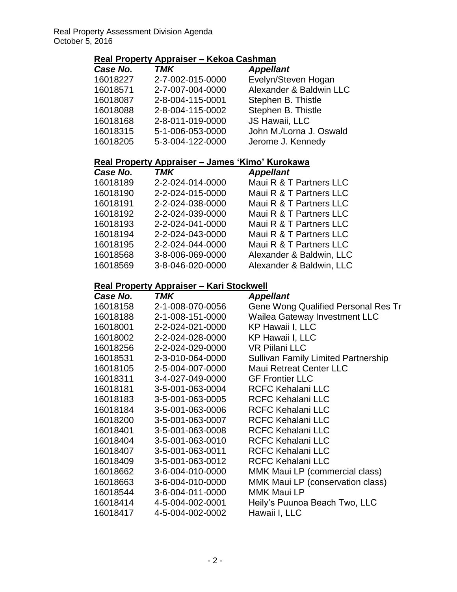# **Real Property Appraiser – Kekoa Cashman**

| Case No. | <b>TMK</b>       | <b>Appellant</b>        |
|----------|------------------|-------------------------|
| 16018227 | 2-7-002-015-0000 | Evelyn/Steven Hogan     |
| 16018571 | 2-7-007-004-0000 | Alexander & Baldwin LLC |
| 16018087 | 2-8-004-115-0001 | Stephen B. Thistle      |
| 16018088 | 2-8-004-115-0002 | Stephen B. Thistle      |
| 16018168 | 2-8-011-019-0000 | JS Hawaii, LLC          |
| 16018315 | 5-1-006-053-0000 | John M./Lorna J. Oswald |
| 16018205 | 5-3-004-122-0000 | Jerome J. Kennedy       |

### **Real Property Appraiser – James 'Kimo' Kurokawa**

| Case No. | <b>TMK</b>       | <b>Appellant</b>         |
|----------|------------------|--------------------------|
| 16018189 | 2-2-024-014-0000 | Maui R & T Partners LLC  |
| 16018190 | 2-2-024-015-0000 | Maui R & T Partners LLC  |
| 16018191 | 2-2-024-038-0000 | Maui R & T Partners LLC  |
| 16018192 | 2-2-024-039-0000 | Maui R & T Partners LLC  |
| 16018193 | 2-2-024-041-0000 | Maui R & T Partners LLC  |
| 16018194 | 2-2-024-043-0000 | Maui R & T Partners LLC  |
| 16018195 | 2-2-024-044-0000 | Maui R & T Partners LLC  |
| 16018568 | 3-8-006-069-0000 | Alexander & Baldwin, LLC |
| 16018569 | 3-8-046-020-0000 | Alexander & Baldwin, LLC |

### **Real Property Appraiser – Kari Stockwell**

| Case No. | TMK              | <b>Appellant</b>                           |
|----------|------------------|--------------------------------------------|
| 16018158 | 2-1-008-070-0056 | Gene Wong Qualified Personal Res Tr        |
| 16018188 | 2-1-008-151-0000 | Wailea Gateway Investment LLC              |
| 16018001 | 2-2-024-021-0000 | <b>KP Hawaii I, LLC</b>                    |
| 16018002 | 2-2-024-028-0000 | KP Hawaii I, LLC                           |
| 16018256 | 2-2-024-029-0000 | <b>VR Pillani LLC</b>                      |
| 16018531 | 2-3-010-064-0000 | <b>Sullivan Family Limited Partnership</b> |
| 16018105 | 2-5-004-007-0000 | <b>Maui Retreat Center LLC</b>             |
| 16018311 | 3-4-027-049-0000 | <b>GF Frontier LLC</b>                     |
| 16018181 | 3-5-001-063-0004 | <b>RCFC Kehalani LLC</b>                   |
| 16018183 | 3-5-001-063-0005 | <b>RCFC Kehalani LLC</b>                   |
| 16018184 | 3-5-001-063-0006 | <b>RCFC Kehalani LLC</b>                   |
| 16018200 | 3-5-001-063-0007 | <b>RCFC Kehalani LLC</b>                   |
| 16018401 | 3-5-001-063-0008 | <b>RCFC Kehalani LLC</b>                   |
| 16018404 | 3-5-001-063-0010 | <b>RCFC Kehalani LLC</b>                   |
| 16018407 | 3-5-001-063-0011 | <b>RCFC Kehalani LLC</b>                   |
| 16018409 | 3-5-001-063-0012 | <b>RCFC Kehalani LLC</b>                   |
| 16018662 | 3-6-004-010-0000 | MMK Maui LP (commercial class)             |
| 16018663 | 3-6-004-010-0000 | MMK Maui LP (conservation class)           |
| 16018544 | 3-6-004-011-0000 | <b>MMK Maui LP</b>                         |
| 16018414 | 4-5-004-002-0001 | Heily's Puunoa Beach Two, LLC              |
| 16018417 | 4-5-004-002-0002 | Hawaii I, LLC                              |
|          |                  |                                            |